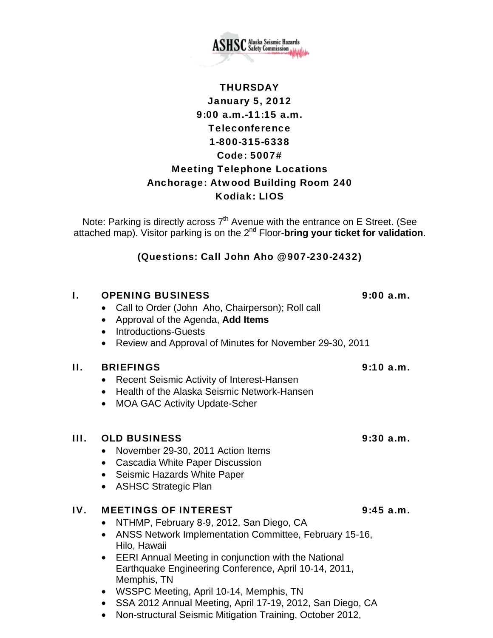

# **THURSDAY** January 5, 2012 9:00 a.m.-11:15 a.m. **Teleconference** 1-800-315-6338 Code: 5007# Meeting Telephone Locations Anchorage: Atwood Building Room 240 Kodiak: LIOS

Note: Parking is directly across  $7<sup>th</sup>$  Avenue with the entrance on E Street. (See attached map). Visitor parking is on the 2nd Floor-**bring your ticket for validation**.

## (Questions: Call John Aho @ 907-230-2432)

## I. OPENING BUSINESS 9:00 a.m.

- Call to Order (John Aho, Chairperson); Roll call
- Approval of the Agenda, **Add Items**
- Introductions-Guests
- Review and Approval of Minutes for November 29-30, 2011

## II. BRIEFINGS 9:10 a.m.

- Recent Seismic Activity of Interest-Hansen
- Health of the Alaska Seismic Network-Hansen
- MOA GAC Activity Update-Scher

### III. OLD BUSINESS 9:30 a.m.

- November 29-30, 2011 Action Items
- Cascadia White Paper Discussion
- Seismic Hazards White Paper
- ASHSC Strategic Plan

## IV. MEETINGS OF INTEREST 9:45 a.m.

- NTHMP, February 8-9, 2012, San Diego, CA
- ANSS Network Implementation Committee, February 15-16, Hilo, Hawaii
- EERI Annual Meeting in conjunction with the National Earthquake Engineering Conference, April 10-14, 2011, Memphis, TN
- WSSPC Meeting, April 10-14, Memphis, TN
- SSA 2012 Annual Meeting, April 17-19, 2012, San Diego, CA
- Non-structural Seismic Mitigation Training, October 2012,